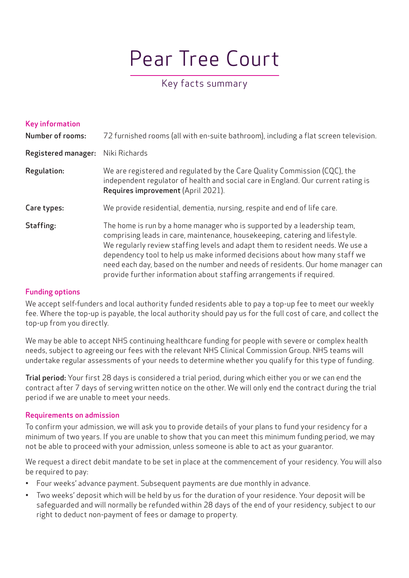# Pear Tree Court

# Key facts summary

| <b>Key information</b><br><b>Number of rooms:</b> | 72 furnished rooms (all with en-suite bathroom), including a flat screen television.                                                                                                                                                                                                                                                                                                                                                                                                |
|---------------------------------------------------|-------------------------------------------------------------------------------------------------------------------------------------------------------------------------------------------------------------------------------------------------------------------------------------------------------------------------------------------------------------------------------------------------------------------------------------------------------------------------------------|
| <b>Registered manager:</b>                        | Niki Richards                                                                                                                                                                                                                                                                                                                                                                                                                                                                       |
| Regulation:                                       | We are registered and regulated by the Care Quality Commission (CQC), the<br>independent regulator of health and social care in England. Our current rating is<br>Requires improvement (April 2021).                                                                                                                                                                                                                                                                                |
| Care types:                                       | We provide residential, dementia, nursing, respite and end of life care.                                                                                                                                                                                                                                                                                                                                                                                                            |
| Staffing:                                         | The home is run by a home manager who is supported by a leadership team,<br>comprising leads in care, maintenance, housekeeping, catering and lifestyle.<br>We regularly review staffing levels and adapt them to resident needs. We use a<br>dependency tool to help us make informed decisions about how many staff we<br>need each day, based on the number and needs of residents. Our home manager can<br>provide further information about staffing arrangements if required. |

# Funding options

We accept self-funders and local authority funded residents able to pay a top-up fee to meet our weekly fee. Where the top-up is payable, the local authority should pay us for the full cost of care, and collect the top-up from you directly.

We may be able to accept NHS continuing healthcare funding for people with severe or complex health needs, subject to agreeing our fees with the relevant NHS Clinical Commission Group. NHS teams will undertake regular assessments of your needs to determine whether you qualify for this type of funding.

Trial period: Your first 28 days is considered a trial period, during which either you or we can end the contract after 7 days of serving written notice on the other. We will only end the contract during the trial period if we are unable to meet your needs.

#### Requirements on admission

To confirm your admission, we will ask you to provide details of your plans to fund your residency for a minimum of two years. If you are unable to show that you can meet this minimum funding period, we may not be able to proceed with your admission, unless someone is able to act as your guarantor.

We request a direct debit mandate to be set in place at the commencement of your residency. You will also be required to pay:

- Four weeks' advance payment. Subsequent payments are due monthly in advance.
- Two weeks' deposit which will be held by us for the duration of your residence. Your deposit will be safeguarded and will normally be refunded within 28 days of the end of your residency, subject to our right to deduct non-payment of fees or damage to property.